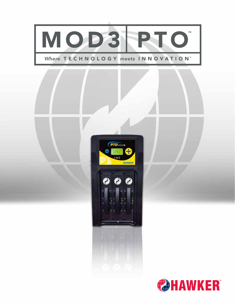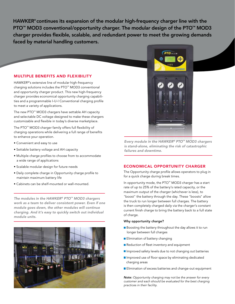HAWKER® continues its expansion of the modular high-frequency charger line with the PTO<sup>™</sup> MOD3 conventional/opportunity charger. The modular design of the PTO™ MOD3 charger provides flexible, scalable, and redundant power to meet the growing demands faced by material handling customers.

## MULTIPLE BENEFITS AND FLEXIBILITY

HAWKER®'s extensive line of modular high-frequency charging solutions includes the PTO™ MOD3 conventional and opportunity charger product. This new high-frequency charger provides economical opportunity charging capabilities and a programmable I-U-I Conventional charging profile to meet a variety of applications.

The new PTO™ MOD3 chargers have settable AH capacity and selectable DC voltage designed to make these chargers customizable and flexible in today's diverse marketplace.

The PTO™ MOD3 charger family offers full flexibility of charging operations while delivering a full range of benefits to enhance your operation.

- Convenient and easy to use
- Settable battery voltage and AH capacity
- Multiple charge profiles to choose from to accommodate a wide range of applications
- Scalable modular design for future needs
- Daily complete charge in Opportunity charge profile to maintain maximum battery life
- Cabinets can be shelf-mounted or wall-mounted.

*The modules in the HAWKER® PTO™ MOD3 chargers work as a team to deliver consistent power. Even if one module goes down, the other modules will continue charging. And it's easy to quickly switch out individual module units.*





*Every module in the HAWKER® PTO™ MOD3 chargers is stand-alone, eliminating the risk of catastrophic failures and downtime.*

### ECONOMICAL OPPORTUNITY CHARGER

The Opportunity charge profile allows operators to plug in for a quick charge during break times.

In opportunity mode, the PTO™ MOD3 charger has a start rate of up to 25% of the battery's rated capacity, or the maximum output of the charger (whichever is less), to "boost" the battery through the day. These "boosts" allow the truck to run longer between full charges. The battery is then completely charged daily via the charger's constant current finish charge to bring the battery back to a full state of charge.

#### Why opportunity charge?

- Boosting the battery throughout the day allows it to run longer between full charges
- **Elimination of battery changing**
- Reduction of fleet inventory and equipment
- **I** Improved safety levels due to not changing out batteries
- **I** Improved use of floor space by eliminating dedicated charging areas
- **Elimination of excess batteries and change-out equipment**

*Note: Opportunity charging may not be the answer for every customer and each should be evaluated for the best charging practices in their facility.*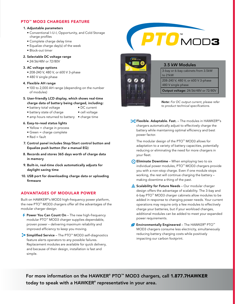# PTO™ MOD3 CHARGERS FEATURE

#### 1. Adjustable parameters

- Conventional I-U-I, Opportunity, and Cold Storage charge profiles
- Complete charge delay time
- Equalize charge day(s) of the week
- Block-out timer
- 2. Selectable DC voltage range
	- 24/36/48V or 72/80V

#### 3. AC voltage options

- 208-240 V, 480 V, or 600 V 3-phase
- 480 V single phase

#### 4. Flexible AH range

- 100 to 2,000 AH range (depending on the number of modules)
- 5. User-friendly LCD display, which shows real-time charge data of battery being charged, including:
	- battery total voltage DC current
	- battery state of charge cell voltage
	- amp hours returned to battery charge time

#### 6. Easy-to-read status lights

- Yellow = charge in process
- Green = charge complete
- $\bullet$  Red = fault
- 7. Control panel includes Stop/Start control button and Equalize push button (for a manual EQ)
- 8. Records and stores 365 days worth of charge data in memory
- 9. Built-in, real-time clock automatically adjusts for daylight saving time
- 10. USB port for downloading charge data or uploading firmware

# ADVANTAGES OF MODULAR POWER

Built on HAWKER®'s MOD3 high-frequency power platform, the new PTO™ MOD3 chargers offer all the advantages of the modular charger design.

- $\rightarrow$  Power You Can Count On The new high-frequency modular PTO™ MOD3 charger supplies dependable, proven power – delivering maximum reliability and improved efficiency to keep you moving.
- ◆ Simplified Service The PTO™ MOD3 self-diagnostics feature alerts operators to any possible failures. Replacement modules are available for quick delivery, and because of their design, installation is fast and simple.





### 3.5 kW Modules

3-bay or 6-bay cabinets from 3.5kW to 21kW 208-240 V, 480 V, or 600 V 3-phase 480 V single phase

Output voltage: 24/36/48V or 72/80V

*Note: For DC output current, please refer to product technical specifications.*

**X** Flexible. Adaptable. Fast. - The modules in HAWKER®'s chargers automatically adjust to effectively charge the battery while maintaining optimal efficiency and best power factor.

 The modular design of the PTO™ MOD3 allows for adaptation to a variety of battery capacities, potentially reducing or eliminating the need for more chargers in your fleet.

- $\odot$  Eliminate Downtime When employing two to six individual power modules, PTO™ MOD3 chargers provide you with a non-stop charge. Even if one module stops working, the rest will continue charging the battery – making downtime a thing of the past.
- Scalability for Future Needs Our modular charger design offers the advantage of scalability. The 3-bay and 6-bay PTO™ MOD3 charger cabinets allow modules to be added in response to changing power needs. Your current operations may require only a few modules to effectively charge your batteries, but if your workload changes, additional modules can be added to meet your expanded power requirements.
- Environmentally Engineered The HAWKER® PTO™ MOD3 chargers consume less electricity, simultaneously reducing battery charging costs while positively impacting our carbon footprint.

For more information on the HAWKER® PTO™ MOD3 chargers, call 1.877.7HAWKER today to speak with a HAWKER $^\circ$  representative in your area.